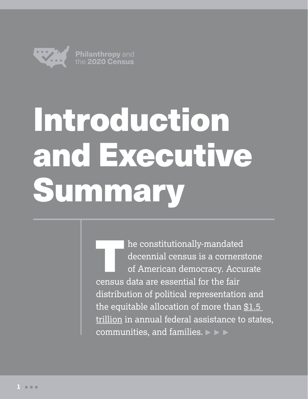

# Introduction and Executive Summary

he constitutionally-mandated decennial census is a cornerstone of American democracy. Accurate census data are essential for the fair distribution of political representation and the equitable allocation of more than  $$1.5$ [trillion](https://gwipp.gwu.edu/sites/g/files/zaxdzs2181/f/downloads/Counting%20for%20Dollars%202020%20Brief%207A%20-%20Comprehensive%20Accounting.pdf) in annual federal assistance to states, communities, and families.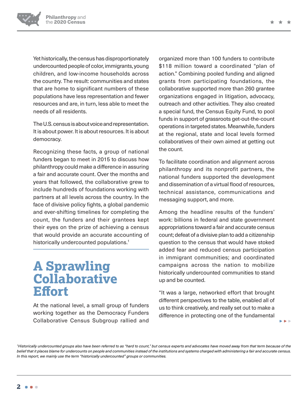Yet historically, the census has disproportionately undercounted people of color, immigrants, young children, and low-income households across the country. The result: communities and states that are home to significant numbers of these populations have less representation and fewer resources and are, in turn, less able to meet the needs of all residents.

The U.S. census is about voice and representation. It is about power. It is about resources. It is about democracy.

Recognizing these facts, a group of national funders began to meet in 2015 to discuss how philanthropy could make a difference in assuring a fair and accurate count. Over the months and years that followed, the collaborative grew to include hundreds of foundations working with partners at all levels across the country. In the face of divisive policy fights, a global pandemic and ever-shifting timelines for completing the count, the funders and their grantees kept their eyes on the prize of achieving a census that would provide an accurate accounting of historically undercounted populations.<sup>1</sup>

# **A Sprawling Collaborative Effort**

At the national level, a small group of funders working together as the Democracy Funders Collaborative Census Subgroup rallied and organized more than 100 funders to contribute \$118 million toward a coordinated "plan of action." Combining pooled funding and aligned grants from participating foundations, the collaborative supported more than 260 grantee organizations engaged in litigation, advocacy, outreach and other activities. They also created a special fund, the Census Equity Fund, to pool funds in support of grassroots get-out-the-count operations in targeted states. Meanwhile, funders at the regional, state and local levels formed collaboratives of their own aimed at getting out the count.

To facilitate coordination and alignment across philanthropy and its nonprofit partners, the national funders supported the development and dissemination of a virtual flood of resources, technical assistance, communications and messaging support, and more.

Among the headline results of the funders' work: billions in federal and state government appropriations toward a fair and accurate census count; defeat of a divisive plan to add a citizenship question to the census that would have stoked added fear and reduced census participation in immigrant communities; and coordinated campaigns across the nation to mobilize historically undercounted communities to stand up and be counted.

"It was a large, networked effort that brought different perspectives to the table, enabled all of us to think creatively, and really set out to make a difference in protecting one of the fundamental

**No. No. 16** 

<sup>1</sup> Historically undercounted groups also have been referred to as "hard to count," but census experts and advocates have moved away from that term because of the *belief that it places blame for undercounts on people and communities instead of the institutions and systems charged with administering a fair and accurate census. In this report, we mainly use the term "historically undercounted" groups or communities.*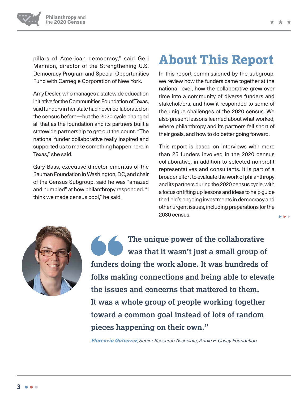$\blacktriangleright$   $\blacktriangleright$   $\blacktriangleright$ 



pillars of American democracy," said Geri Mannion, director of the Strengthening U.S. Democracy Program and Special Opportunities Fund with Carnegie Corporation of New York.

Amy Desler, who manages a statewide education initiative for the Communities Foundation of Texas, said funders in her state had never collaborated on the census before—but the 2020 cycle changed all that as the foundation and its partners built a statewide partnership to get out the count. "The national funder collaborative really inspired and supported us to make something happen here in Texas," she said.

Gary Bass, executive director emeritus of the Bauman Foundation in Washington, DC, and chair of the Census Subgroup, said he was "amazed and humbled" at how philanthropy responded. "I think we made census cool," he said.

# **About This Report**

In this report commissioned by the subgroup, we review how the funders came together at the national level, how the collaborative grew over time into a community of diverse funders and stakeholders, and how it responded to some of the unique challenges of the 2020 census. We also present lessons learned about what worked, where philanthropy and its partners fell short of their goals, and how to do better going forward.

This report is based on interviews with more than 25 funders involved in the 2020 census collaborative, in addition to selected nonprofit representatives and consultants. It is part of a broader effort to evaluate the work of philanthropy and its partners during the 2020 census cycle, with a focus on lifting up lessons and ideas to help guide the field's ongoing investments in democracy and other urgent issues, including preparations for the 2030 census.



**The unique power of the collaborative was that it wasn't just a small group of funders doing the work alone. It was hundreds of folks making connections and being able to elevate the issues and concerns that mattered to them. It was a whole group of people working together toward a common goal instead of lots of random pieces happening on their own."**

*Florencia Gutierrez, Senior Research Associate, Annie E. Casey Foundation*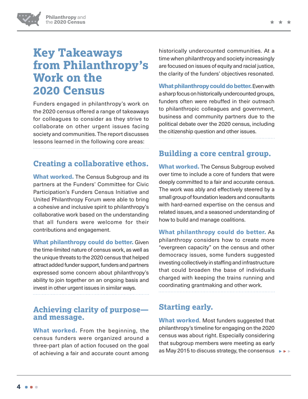# **Key Takeaways from Philanthropy's Work on the 2020 Census**

Funders engaged in philanthropy's work on the 2020 census offered a range of takeaways for colleagues to consider as they strive to collaborate on other urgent issues facing society and communities. The report discusses lessons learned in the following core areas:

#### **Creating a collaborative ethos.**

What worked. The Census Subgroup and its partners at the Funders' Committee for Civic Participation's Funders Census Initiative and United Philanthropy Forum were able to bring a cohesive and inclusive spirit to philanthropy's collaborative work based on the understanding that all funders were welcome for their contributions and engagement.

What philanthropy could do better. Given the time-limited nature of census work, as well as the unique threats to the 2020 census that helped attract added funder support, funders and partners expressed some concern about philanthropy's ability to join together on an ongoing basis and invest in other urgent issues in similar ways.

#### **Achieving clarity of purpose and message.**

What worked. From the beginning, the census funders were organized around a three-part plan of action focused on the goal of achieving a fair and accurate count among

historically undercounted communities. At a time when philanthropy and society increasingly are focused on issues of equity and racial justice, the clarity of the funders' objectives resonated.

What philanthropy could do better. Even with a sharp focus on historically undercounted groups, funders often were rebuffed in their outreach to philanthropic colleagues and government, business and community partners due to the political debate over the 2020 census, including the citizenship question and other issues.

#### **Building a core central group.**

What worked. The Census Subgroup evolved over time to include a core of funders that were deeply committed to a fair and accurate census. The work was ably and effectively steered by a small group of foundation leaders and consultants with hard-earned expertise on the census and related issues, and a seasoned understanding of how to build and manage coalitions.

What philanthropy could do better. As philanthropy considers how to create more "evergreen capacity" on the census and other democracy issues, some funders suggested investing collectively in staffing and infrastructure that could broaden the base of individuals charged with keeping the trains running and coordinating grantmaking and other work.

#### **Starting early.**

What worked. Most funders suggested that philanthropy's timeline for engaging on the 2020 census was about right. Especially considering that subgroup members were meeting as early as May 2015 to discuss strategy, the consensus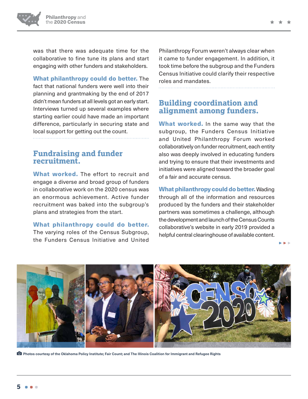was that there was adequate time for the collaborative to fine tune its plans and start engaging with other funders and stakeholders.

What philanthropy could do better. The fact that national funders were well into their planning and grantmaking by the end of 2017 didn't mean funders at all levels got an early start. Interviews turned up several examples where starting earlier could have made an important difference, particularly in securing state and local support for getting out the count.

#### **Fundraising and funder recruitment.**

What worked. The effort to recruit and engage a diverse and broad group of funders in collaborative work on the 2020 census was an enormous achievement. Active funder recruitment was baked into the subgroup's plans and strategies from the start.

What philanthropy could do better. The varying roles of the Census Subgroup, the Funders Census Initiative and United

Philanthropy Forum weren't always clear when it came to funder engagement. In addition, it took time before the subgroup and the Funders Census Initiative could clarify their respective roles and mandates.

**Building coordination and alignment among funders.**

What worked. In the same way that the subgroup, the Funders Census Initiative and United Philanthropy Forum worked collaboratively on funder recruitment, each entity also was deeply involved in educating funders and trying to ensure that their investments and initiatives were aligned toward the broader goal of a fair and accurate census.

What philanthropy could do better. Wading through all of the information and resources produced by the funders and their stakeholder partners was sometimes a challenge, although the development and launch of the Census Counts collaborative's website in early 2019 provided a helpful central clearinghouse of available content.



**• Photos courtesy of the Oklahoma Policy Institute; Fair Count; and The Illinois Coalition for Immigrant and Refugee Rights**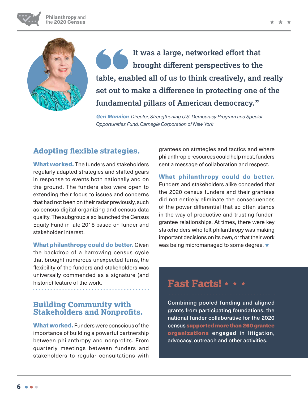

**It was a large, networked effort that brought different perspectives to the table, enabled all of us to think creatively, and really set out to make a difference in protecting one of the fundamental pillars of American democracy."**

*Geri Mannion, Director, Strengthening U.S. Democracy Program and Special Opportunities Fund, Carnegie Corporation of New York*

#### **Adopting flexible strategies.**

What worked. The funders and stakeholders regularly adapted strategies and shifted gears in response to events both nationally and on the ground. The funders also were open to extending their focus to issues and concerns that had not been on their radar previously, such as census digital organizing and census data quality. The subgroup also launched the Census Equity Fund in late 2018 based on funder and stakeholder interest.

What philanthropy could do better. Given the backdrop of a harrowing census cycle that brought numerous unexpected turns, the flexibility of the funders and stakeholders was universally commended as a signature (and historic) feature of the work.

#### **Building Community with Stakeholders and Nonprofits.**

What worked. Funders were conscious of the importance of building a powerful partnership between philanthropy and nonprofits. From quarterly meetings between funders and stakeholders to regular consultations with

grantees on strategies and tactics and where philanthropic resources could help most, funders sent a message of collaboration and respect.

What philanthropy could do better. Funders and stakeholders alike conceded that the 2020 census funders and their grantees did not entirely eliminate the consequences of the power differential that so often stands in the way of productive and trusting fundergrantee relationships. At times, there were key stakeholders who felt philanthropy was making important decisions on its own, or that their work was being micromanaged to some degree.  $\star$ 

## **Fast Facts!**

Combining pooled funding and aligned grants from participating foundations, the national funder collaborative for the 2020 census supported more than 260 grantee organizations engaged in litigation, advocacy, outreach and other activities.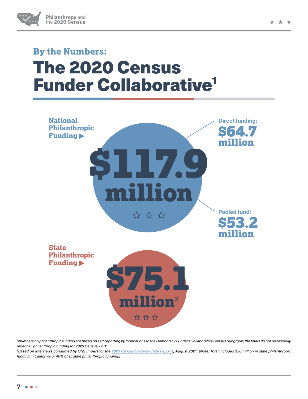# **By the Numbers:** The 2020 Census **Funder Collaborative<sup>1</sup>**



<sup>1</sup> Numbers on philanthropic funding are based on self-reporting by foundations to the Democracy Funders Collaborative Census Subgroup; the totals do not necessarily *reflect all philanthropic funding for 2020 Census work.* 

*2 Based on interviews conducted by [ORS Impact for the 2020 Census State-by-State Reports, August 2021.](https://funderscommittee.org/2020censusstatereports/) (Note: Total includes \$30 million in state philanthropic funding in California or 40% of all state philanthropic funding.)*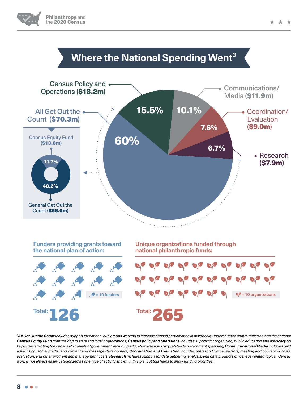

# **Where the National Spending Went3**



<sup>3</sup> All Get Out the Count includes support for national hub groups working to increase census participation in historically undercounted communities as well the national *Census Equity Fund grantmaking to state and local organizations; Census policy and operations includes support for organizing, public education and advocacy on key issues affecting the census at all levels of government, including education and advocacy related to government spending; Communications/Media includes paid advertising, social media, and content and message development; Coordination and Evaluation includes outreach to other sectors, meeting and convening costs, evaluation, and other program and management costs; Research includes support for data gathering, analysis, and data products on census-related topics. Census work is not always easily categorized as one type of activity shown in this pie, but this helps to show funding priorities.*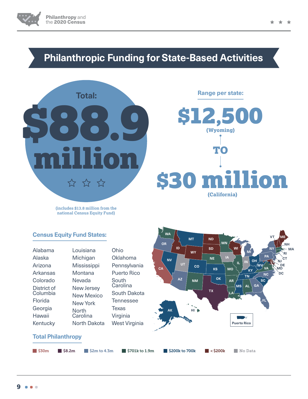

## **Philanthropic Funding for State-Based Activities**





**(includes \$13.8 million from the national Census Equity Fund)**